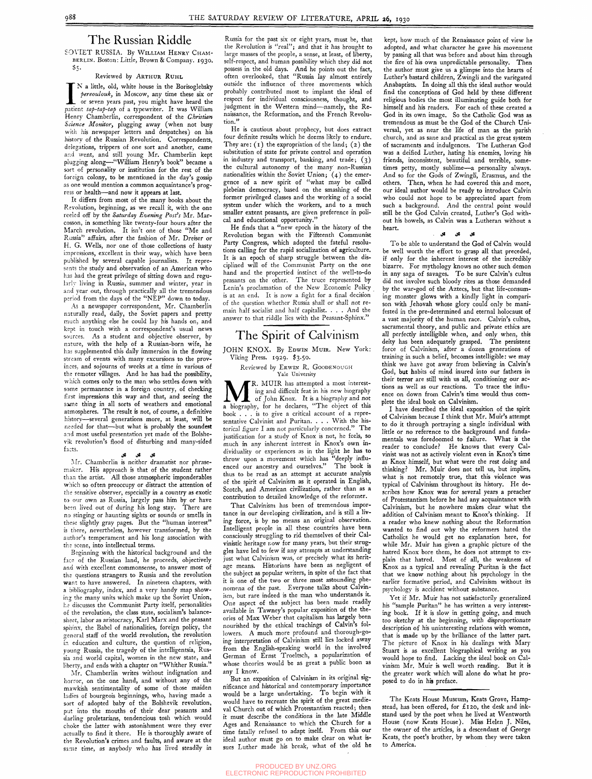## The Russian Riddle

**SOVIET RUSSIA.** By WILLIAM HENRY CHAM-BERLiN. Boston: Little, Brown & Company. 1930, \$5-

#### Reviewed by ARTHUR RUHL

N a little, old, white house in the Borisoglebsky<br>*pereoulouk*, in Moscow, any time these six or<br>or seven years past, you might have heard the<br>patient *tap-tap-tap* of a typewriter. It was William N a little, old, white house in the Borisoglebsky *fereoulouky* in Moscow, any time these six or or seven years past, you might have heard the Henry Chamberlin, correspondent of the *Christian Science Monitor,* plugging away (when not busy with his newspaper letters and despatches) on his history of the Russian Revolution. Correspondents, delegations, trippers of one sort and another, came and went, and still young Mr. Chamberlin kept plugging along—"William Henry's book" became a sort of personality or institution for the rest of the foreign colony, to be mentioned in the day's gossip as one would mention a common acquaintance's progress or health—and now it appears at last.

It differs from most of the many books about the Revolution, beginning, as we recall it, with the one reeled off by the *Saturday Evening Post's* Mr. Marcosson, in something like twenty-four hours after the March revolution. It isn't one of those "Me and Russia" affairs, after the fashion of Mr. Dreiser or H. G. Wells, nor one of those collections of hasty impressions, excellent in their way, which have been published by several capable journalists. It represents the study and observation of an American who has had the great privilege of sitting down and regularly living in Russia, summer and winter, year in and year out, through practically all the tremendous period from the days of the "NEP" down to today.

As a newspaper correspondent, Mr. Chamberlin naturally read, daily, the Soviet papers and pretty much anything else he could lay his hands on, and kept in touch with a correspondent's usual news sources. As a student and objective observer, by nature, with the help of a Russian-born wife, he has supplemented this daily immersion in the flowing stream of events with many excursions to the provinces, and sojourns of weeks at a time in various of the remoter villages. And he has had the possibility, which comes only to the man who settles down with some permanence in a foreign country, of checking first impressions this way and that, and seeing the same thing in all sorts of weathers and emotional atmospheres. The result is not, of course, a definitive history—several generations more, at least, will be needed for that—but what is probably the soundest and most useful presentation yet made of the Bolshevik revolution's flood of disturbing and many-sided facts.

 $\mathcal{Y}$  v  $\mathcal{Y}$ 

He is cautious about prophecy, but does extract four definite results which he deems likely to endure. They are:  $(1)$  the expropriation of the land;  $(2)$  the substitution of state for private control and operation in industry and transport, banking, and trade;  $(3)$ the cultural autonomy of the many non-Russian nationalities within the Soviet Union; (4 ) the emergence of a new spirit of "what may be called plebeian democracy, based on the smashing of the former privileged classes and the working of a social system under which the workers, and to a much smaller extent peasants, are given preference in polical and educational opportunity.'

Mr. Chamberlin is neither dramatist nor phrasemaker. His approach is that of the student rather than the artist. All those atmospheric imponderables which so often preoccupy or distract the attention of the sensitive observer, especially in a country as exotic to our own as Russia, largely pass him by or have been lived out of during his long stay. There are no stinging or haunting sights or sounds or smells in these slightly gray pages. But the "human interest" is there, nevertheless, however transformed, by the author's temperament and his long association with the scene, into intellectual terms.

### JOHN KNOX. By EDWIN MUIR. New York: Viking Press. 1929. \$3.50.

Reviewed by ERWIN R. GOODENOUGH Yale University

MR. MUIR has attempted a most interest-<br>ing and difficult feat in his new biography<br>a biography, for he declares, "The object of this R. MUIR has attempted a most interesting and difficult feat in his new biography of John Knox. It is a biography and not book .. . is to give a critical account of a representative Calvinist and Puritan. . . . With the historical figure I am not particularly concerned." The justification for a study of Knox is not, he feels, so much in any inherent interest in Knox's own individuality or experiences as in the light he has to throw upon a movement which has "deeply influenced our ancestry and ourselves." The book is thus to be read as an attempt at accurate analysis of the spirit of Calvinism as it operated in English, Scotch, and American civilization, rather than as a contribution to detailed knowledge of the reformer.

Beginning with the historical background and the face of the Russian land, he proceeds, objectively and with excellent commonsense, to answer most of the questions strangers to Russia and the revolution want to have answered. In nineteen chapters, with a bibliography, index, and a very handy map showing the many units which make up the Soviet Union, he discusses the Communist Party itself, personalities of the revolution, the class state, socialism's balancesheet, labor as aristocracy, Karl Marx and the peasant sphinx, the Babel of nationalities, foreign policy, the general staff of the world revolution, the revolution in education and culture, the question of religion, young Russia, the tragedy of the intelligentsia, Russia and world capital, women in the new state, and liberty, and ends with a chapter on "Whither Russia." Mr. Chamberlin writes without indignation and horror, on the one hand, and without any of the mawkish sentimentality of some of those maiden ladies of bourgeois beginnings, who, having made a sort of adopted baby of the Bolshevik revolution, pat into the mouths of their dear peasants and darling proletarians, tendencious tosh which would choke the latter with astonishment were they ever actually to find it there. He is thoroughly aware of the Revolution's crimes and faults, and aware at the same time, as anybody who has lived steadily in

That Calvinism has been of tremendous importance in our developing civilization, and is still a living force, is by no means an original observation. Intelligent people in all these countries have been consciously struggling to rid themselves of their Calvinistic heritage now for many years, but their struggles have led to few if any attempts at understanding just what Calvinism was, or precisely what its heritage means. Historians have been as negligent of the subject as popular writers, in spite of the fact that it is one of the two or three most astounding phenomena of the past. Everyone talks about Calvinism, but rare indeed is the man who understands it. One aspect of the subject has been made readily available in Tawney's popular exposition of the theories of Max Weber that capitalism has largely been nourished by the ethical teachings of Calvin's followers. A much more profound and thorough-going interpretation of Calvinism still lies locked away from the English-speaking world in the involved German of Ernst Troeltsch, a popularization of whose theories would be as great a public boon as any I know. But an exposition of Calvinism in its original significance and historical and contemporary importance would be a large undertaking. To begin with it would have to recreate the spirit of the great medieval Church out of which Protestantism reacted; then it must describe the conditions in the late Middle Ages and Renaissance to which the Church for a time fatally refused to adapt itself. From this our ideal author must go on to make clear on what issues Luther made his break, what of the old he

Russia for the past six or eight years, must be, that the Revolution is "real"; and that it has brought to large masses of the people, a sense, at least, of liberty, self-respect, and human possibility which they did not possess in the old days. And he points out the fact, often overlooked, that "Russia lay almost entirely outside the influence of three movements which probably contributed most to implant the ideal of respect for individual consciousness, thought, and judgment in the Western mind—namely, the Renaissance, the Reformation, and the French Revolution."

> To be able to understand the God of Calvin would be well worth the effort to grasp all that preceded, if only for the inherent interest of the incredibly bizarre. For mythology knows no other such demon in any saga of savages. To be sure Calvin's cultus did not involve such bloody rites as those demanded by the war-god of the Aztecs, but that life-consuming monster glows with a kindly light in comparison with Jehovah whose glory could only be manifested in the pre-determined and eternal holocaust of a vast majority of the human race. Calvin's cultus, sacramental theory, and public and private ethics are all perfectly intelligible when, and only when, this deity has been adequately grasped. The persistent force of Calvinism, after a dozen generations of training in such a belief, becomes intelligible: we may think we have got away from believing in Calvin's God, **but** habits of mind inured into our fathers in their terror are still with us all, conditioning our actions as well as our reactions. To trace the influence on down from Calvin's time would thus complete the ideal book on Calvinism.

He finds that a "new epoch in the history of the Revolution began with the Fifteenth Communist Party Congress, which adopted the fateful resolutions calling for the rapid socialization of agriculture. It is an epoch of sharp struggle between the disciplined will of the Communist Party on the one hand and the propertied instinct of the well-to-do peasants on the other. The truce represented by Lenin's proclamation of the New Economic Policy is at an end. It is now a fight for a final decision of the question whether Russia shall or shall not remain half socialist and half capitalist. . . . And the answer to that riddle lies with the Peasant-Sphinx."

# The Spirit of Calvinism

The Keats House Museum, Keats Grove, Hampstead, has been offered, for £120, the desk and inkstand used by the poet when he lived at Wentworth House (now Keats House). Miss Helen J. Niles, the owner of the articles, is a descendant of George Keats, the poet's brother, by whom they were taken to America.

kept, how much of the Renaissance point of view he adopted, and what character he gave his movement by passing all that was before and about him through the fire of his own unpredictable personality. Then the author must give us a glimpse into the hearts of Luther's bastard children, Zwingli and the variegated Anabaptists. In doing all this the ideal author would find the conceptions of God held by these different religious bodies the most illuminating guide both for himself and his readers. For each of these created a God in its own image. So the Catholic God was as tremendous as must be the God of the Church Universal, yet as near the life of man as the parish church, and as sane and practical as the great system of sacraments and indulgences. The Lutheran God was a deified Luther, hating his enemies, loving his friends, inconsistent, beautiful and terrible, sometimes petty, mostly sublime—a personality always. And so for the Gods of Zwingli, Erasmus, and the others. Then, when he had covered this and more, our ideal author would be ready to introduce Calvin who could not hope to be appreciated apart from such a background. And the central point would still be the God Calvin created, Luther's God without his bowels, as Calvin was a Lutheran without a heart.

**(^v ^^v f^6** 

I have described the ideal exposition of the spirit of Calvinism because I think that Mr. Muir's attempt to do it through portraying a single individual with little or no reference to the background and fundamentals was foredoomed to failure. What is the reader to conclude? He knows that every Calvinist was not as actively violent even in Knox's time as Knox himself, but what were the rest doing and thinking? Mr. Muir does not tell us, but implies, what is not remotely true, that this violence was typical of Calvinism throughout its history. He describes how Knox was for several years a preacher of Protestantism before he had any acquaintance with Calvinism, but he nowhere makes clear what the addition of Calvinism meant to Knox's thinking. If a reader who knew nothing about the Reformation wanted to find out why the reformers hated the Catholics he would get no explanation here, for while Mr. Muir has given a graphic picture of the hatred Knox bore them, he does not attempt to explain that hatred. Most of all, the weakness of Knox as a typical and revealing Puritan is the fact that we know nothing about his psychology in the earlier formative period, and Calvinism without its psychology is accident without substance.

Yet if Mr. Muir has not satisfactorily generalized his "sample Puritan" he has written a very interesting book. If it is slow in getting going, and much too sketchy at the beginning, with disproportionate description of his uninteresting relations with women, that is made up by the brilliance of the latter part. The picture of Knox in his dealings with Mary Stuart is as excellent biographical writing as you would hope to find. Lacking the ideal book on Calvinism Mr. Muir is well worth reading. But it is the greater work which will alone do what he proposed to do in his preface.